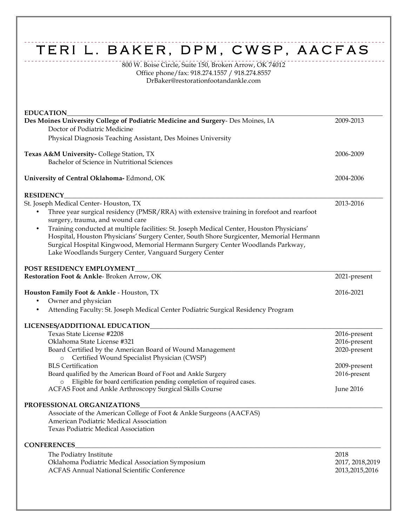## TERI L. BAKER, DPM, CWSP, AACFAS

800 W. Boise Circle, Suite 150, Broken Arrow, OK 74012 Office phone/fax: 918.274.1557 / 918.274.8557 DrBaker@restorationfootandankle.com

| <b>EDUCATION</b>                                                                                                                                                                                                                                                       |                  |
|------------------------------------------------------------------------------------------------------------------------------------------------------------------------------------------------------------------------------------------------------------------------|------------------|
| Des Moines University College of Podiatric Medicine and Surgery- Des Moines, IA<br>Doctor of Podiatric Medicine                                                                                                                                                        | 2009-2013        |
| Physical Diagnosis Teaching Assistant, Des Moines University                                                                                                                                                                                                           |                  |
|                                                                                                                                                                                                                                                                        |                  |
| Texas A&M University-College Station, TX                                                                                                                                                                                                                               | 2006-2009        |
| Bachelor of Science in Nutritional Sciences                                                                                                                                                                                                                            |                  |
| University of Central Oklahoma-Edmond, OK                                                                                                                                                                                                                              | 2004-2006        |
| <b>RESIDENCY</b>                                                                                                                                                                                                                                                       |                  |
| St. Joseph Medical Center-Houston, TX                                                                                                                                                                                                                                  | 2013-2016        |
| Three year surgical residency (PMSR/RRA) with extensive training in forefoot and rearfoot<br>٠                                                                                                                                                                         |                  |
| surgery, trauma, and wound care                                                                                                                                                                                                                                        |                  |
| Training conducted at multiple facilities: St. Joseph Medical Center, Houston Physicians'<br>Hospital, Houston Physicians' Surgery Center, South Shore Surgicenter, Memorial Hermann<br>Surgical Hospital Kingwood, Memorial Hermann Surgery Center Woodlands Parkway, |                  |
| Lake Woodlands Surgery Center, Vanguard Surgery Center                                                                                                                                                                                                                 |                  |
| POST RESIDENCY EMPLOYMENT                                                                                                                                                                                                                                              |                  |
| Restoration Foot & Ankle-Broken Arrow, OK                                                                                                                                                                                                                              | 2021-present     |
| Houston Family Foot & Ankle - Houston, TX                                                                                                                                                                                                                              | 2016-2021        |
| Owner and physician<br>٠                                                                                                                                                                                                                                               |                  |
| Attending Faculty: St. Joseph Medical Center Podiatric Surgical Residency Program<br>$\bullet$                                                                                                                                                                         |                  |
|                                                                                                                                                                                                                                                                        |                  |
| Texas State License #2208                                                                                                                                                                                                                                              | 2016-present     |
| Oklahoma State License #321                                                                                                                                                                                                                                            | 2016-present     |
| Board Certified by the American Board of Wound Management                                                                                                                                                                                                              | 2020-present     |
| o Certified Wound Specialist Physician (CWSP)                                                                                                                                                                                                                          |                  |
| <b>BLS</b> Certification                                                                                                                                                                                                                                               | 2009-present     |
| Board qualified by the American Board of Foot and Ankle Surgery                                                                                                                                                                                                        | 2016-present     |
| Eligible for board certification pending completion of required cases.                                                                                                                                                                                                 |                  |
| ACFAS Foot and Ankle Arthroscopy Surgical Skills Course                                                                                                                                                                                                                | June 2016        |
| PROFESSIONAL ORGANIZATIONS                                                                                                                                                                                                                                             |                  |
| Associate of the American College of Foot & Ankle Surgeons (AACFAS)                                                                                                                                                                                                    |                  |
| American Podiatric Medical Association                                                                                                                                                                                                                                 |                  |
| Texas Podiatric Medical Association                                                                                                                                                                                                                                    |                  |
| <b>CONFERENCES</b>                                                                                                                                                                                                                                                     |                  |
| The Podiatry Institute                                                                                                                                                                                                                                                 | 2018             |
| Oklahoma Podiatric Medical Association Symposium                                                                                                                                                                                                                       | 2017, 2018, 2019 |
| <b>ACFAS Annual National Scientific Conference</b>                                                                                                                                                                                                                     | 2013, 2015, 2016 |